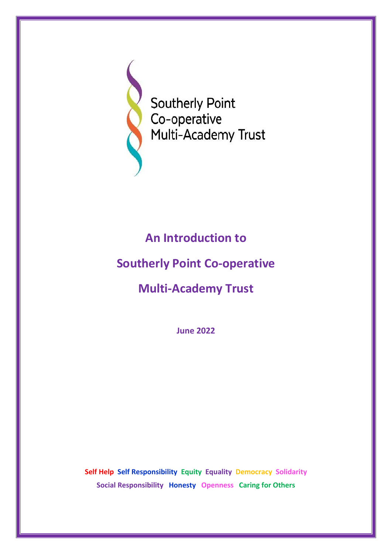

**Southerly Point** Co-operative Multi-Academy Trust

## **An Introduction to**

## **Southerly Point Co-operative**

# **Multi-Academy Trust**

**June 2022**

**Self Help Self Responsibility Equity Equality Democracy Solidarity Social Responsibility Honesty Openness Caring for Others**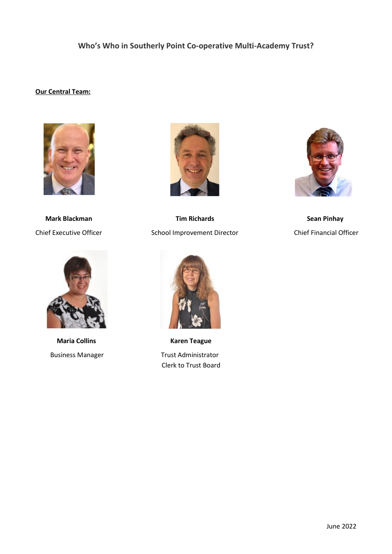### **Who's Who in Southerly Point Co-operative Multi-Academy Trust?**

### **Our Central Team:**





**Maria Collins Colling Contracts Colling Colling Colling Colling Colling Colling Colling Colling Colling Colling Colling Colling Colling Colling Colling Colling Colling Colling Colling Colling Colling Colling Colling Colli** 



 **Mark Blackman Tim Richards Sean Pinhay** Chief Executive Officer School Improvement Director Chief Financial Officer



Business Manager Trust Administrator Clerk to Trust Board

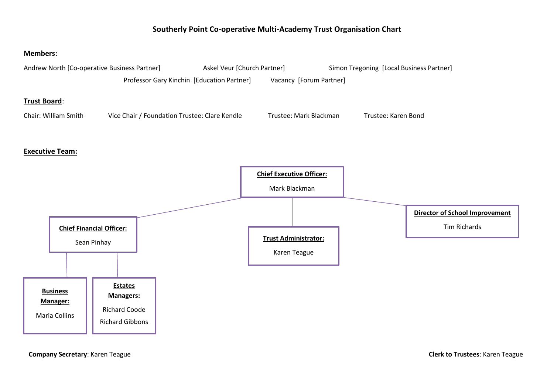### **Southerly Point Co-operative Multi-Academy Trust Organisation Chart**

#### **Members:**



**Company Secretary**: Karen Teague **Clerk to Trustees**: Karen Teague